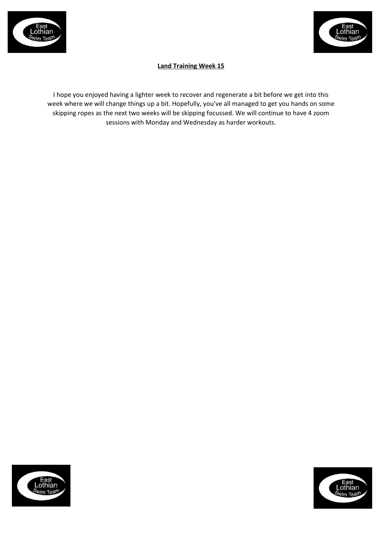



# **Land Training Week 15**

I hope you enjoyed having a lighter week to recover and regenerate a bit before we get into this week where we will change things up a bit. Hopefully, you've all managed to get you hands on some skipping ropes as the next two weeks will be skipping focussed. We will continue to have 4 zoom sessions with Monday and Wednesday as harder workouts.



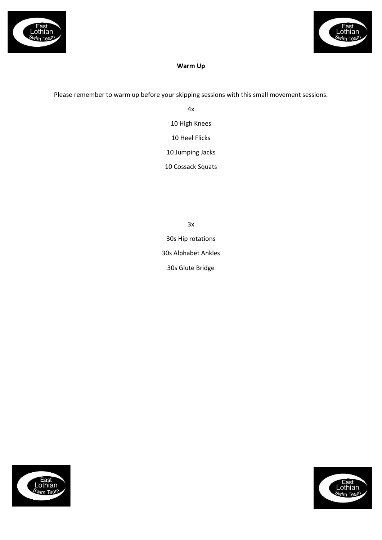



## **Warm Up**

Please remember to warm up before your skipping sessions with this small movement sessions.

4x 10 High Knees 10 Heel Flicks 10 Jumping Jacks 10 Cossack Squats

3x 30s Hip rotations 30s Alphabet Ankles 30s Glute Bridge



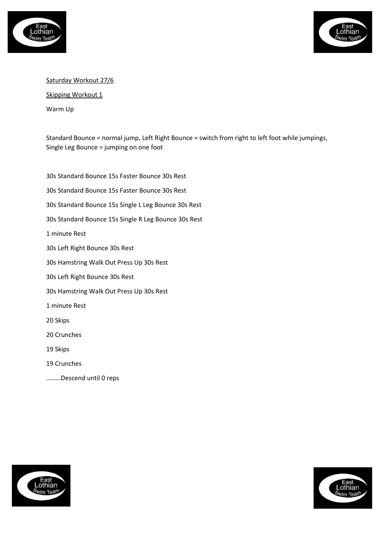



## Saturday Workout 27/6

Skipping Workout 1

Warm Up

Standard Bounce = normal jump, Left Right Bounce = switch from right to left foot while jumpings, Single Leg Bounce = jumping on one foot

30s Standard Bounce 15s Faster Bounce 30s Rest 30s Standard Bounce 15s Faster Bounce 30s Rest 30s Standard Bounce 15s Single L Leg Bounce 30s Rest 30s Standard Bounce 15s Single R Leg Bounce 30s Rest 1 minute Rest 30s Left Right Bounce 30s Rest 30s Hamstring Walk Out Press Up 30s Rest 30s Left Right Bounce 30s Rest 30s Hamstring Walk Out Press Up 30s Rest 1 minute Rest 20 Skips 20 Crunches 19 Skips 19 Crunches

………Descend until 0 reps



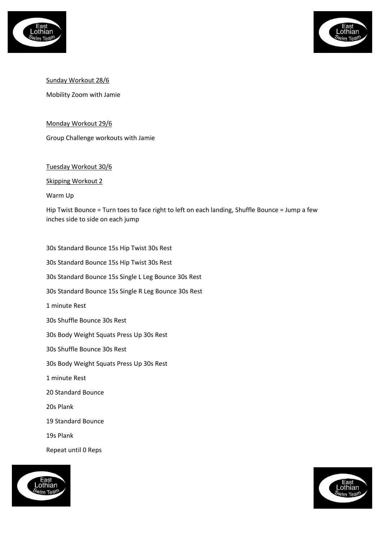



Sunday Workout 28/6

Mobility Zoom with Jamie

#### Monday Workout 29/6

Group Challenge workouts with Jamie

#### Tuesday Workout 30/6

Skipping Workout 2

Warm Up

Hip Twist Bounce = Turn toes to face right to left on each landing, Shuffle Bounce = Jump a few inches side to side on each jump

30s Standard Bounce 15s Hip Twist 30s Rest 30s Standard Bounce 15s Hip Twist 30s Rest 30s Standard Bounce 15s Single L Leg Bounce 30s Rest 30s Standard Bounce 15s Single R Leg Bounce 30s Rest 1 minute Rest 30s Shuffle Bounce 30s Rest 30s Body Weight Squats Press Up 30s Rest 30s Shuffle Bounce 30s Rest 30s Body Weight Squats Press Up 30s Rest 1 minute Rest 20 Standard Bounce 20s Plank 19 Standard Bounce 19s Plank Repeat until 0 Reps



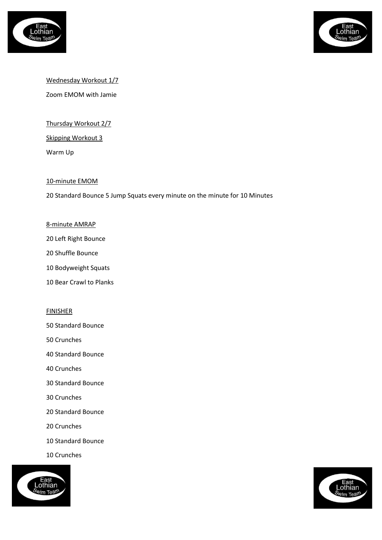



## Wednesday Workout 1/7

Zoom EMOM with Jamie

Thursday Workout 2/7

Skipping Workout 3

Warm Up

#### 10-minute EMOM

20 Standard Bounce 5 Jump Squats every minute on the minute for 10 Minutes

#### 8-minute AMRAP

- 20 Left Right Bounce
- 20 Shuffle Bounce
- 10 Bodyweight Squats
- 10 Bear Crawl to Planks

#### **FINISHER**

- 50 Standard Bounce
- 50 Crunches
- 40 Standard Bounce
- 40 Crunches
- 30 Standard Bounce
- 30 Crunches
- 20 Standard Bounce
- 20 Crunches
- 10 Standard Bounce
- 10 Crunches